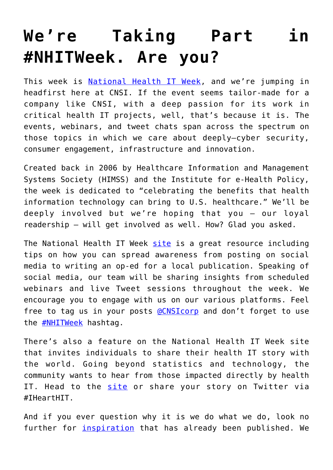## **[We're Taking Part in](https://www.cns-inc.com/insights/thought-leadership/were-taking-part-in-nhitweek-are-you/) [#NHITWeek. Are you?](https://www.cns-inc.com/insights/thought-leadership/were-taking-part-in-nhitweek-are-you/)**

This week is [National Health IT Week](http://www.healthitweek.org/), and we're jumping in headfirst here at CNSI. If the event seems tailor-made for a company like CNSI, with a deep passion for its work in critical health IT projects, well, that's because it is. The events, webinars, and tweet chats span across the spectrum on those topics in which we care about deeply—cyber security, consumer engagement, infrastructure and innovation.

Created back in 2006 by Healthcare Information and Management Systems Society (HIMSS) and the Institute for e-Health Policy, the week is dedicated to "celebrating the benefits that health information technology can bring to U.S. healthcare." We'll be deeply involved but we're hoping that you – our loyal readership – will get involved as well. How? Glad you asked.

The National Health IT Week [site](http://www.healthitweek.org/ten-ways) is a great resource including tips on how you can spread awareness from posting on social media to writing an op-ed for a local publication. Speaking of social media, our team will be sharing insights from scheduled webinars and live Tweet sessions throughout the week. We encourage you to engage with us on our various platforms. Feel free to tag us in your posts **@CNSIcorp** and don't forget to use the [#NHITWeek](https://twitter.com/search?q=%23NHITWeek&src=typd) hashtag.

There's also a feature on the National Health IT Week site that invites individuals to share their health IT story with the world. Going beyond statistics and technology, the community wants to hear from those impacted directly by health IT. Head to the [site](http://www.healthitweek.org/node/add/story) or share your story on Twitter via #IHeartHIT.

And if you ever question why it is we do what we do, look no further for *[inspiration](http://www.healthitweek.org/stories)* that has already been published. We